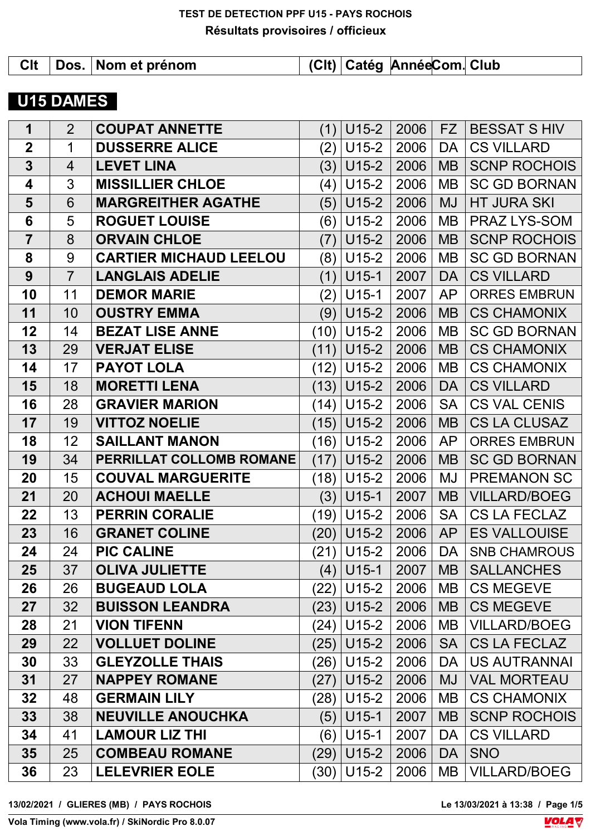|  | CIt   Dos.   Nom et prénom | (CIt) Catég AnnéeCom. Club |  |  |
|--|----------------------------|----------------------------|--|--|
|  |                            |                            |  |  |

# **U15 DAMES**

| 1                       | $\overline{2}$ | <b>COUPAT ANNETTE</b>         | (1)       | $U15-2$ | 2006 | <b>FZ</b> | <b>BESSAT S HIV</b> |
|-------------------------|----------------|-------------------------------|-----------|---------|------|-----------|---------------------|
| $\overline{2}$          | $\mathbf 1$    | <b>DUSSERRE ALICE</b>         | (2)       | $U15-2$ | 2006 | DA        | <b>CS VILLARD</b>   |
| $\overline{\mathbf{3}}$ | $\overline{4}$ | <b>LEVET LINA</b>             | (3)       | $U15-2$ | 2006 | <b>MB</b> | <b>SCNP ROCHOIS</b> |
| $\overline{\mathbf{4}}$ | 3              | <b>MISSILLIER CHLOE</b>       | (4)       | $U15-2$ | 2006 | <b>MB</b> | <b>SC GD BORNAN</b> |
| 5                       | 6              | <b>MARGREITHER AGATHE</b>     | (5)       | $U15-2$ | 2006 | <b>MJ</b> | <b>HT JURA SKI</b>  |
| 6                       | 5              | <b>ROGUET LOUISE</b>          | (6)       | $U15-2$ | 2006 | MB        | PRAZ LYS-SOM        |
| $\overline{7}$          | 8              | <b>ORVAIN CHLOE</b>           | (7)       | $U15-2$ | 2006 | <b>MB</b> | <b>SCNP ROCHOIS</b> |
| 8                       | 9              | <b>CARTIER MICHAUD LEELOU</b> | (8)       | $U15-2$ | 2006 | MB        | <b>SC GD BORNAN</b> |
| 9                       | $\overline{7}$ | <b>LANGLAIS ADELIE</b>        | (1)       | $U15-1$ | 2007 | <b>DA</b> | <b>CS VILLARD</b>   |
| 10                      | 11             | <b>DEMOR MARIE</b>            | (2)       | $U15-1$ | 2007 | <b>AP</b> | <b>ORRES EMBRUN</b> |
| 11                      | 10             | <b>OUSTRY EMMA</b>            | (9)       | $U15-2$ | 2006 | <b>MB</b> | <b>CS CHAMONIX</b>  |
| 12                      | 14             | <b>BEZAT LISE ANNE</b>        | (10)      | $U15-2$ | 2006 | MB        | <b>SC GD BORNAN</b> |
| 13                      | 29             | <b>VERJAT ELISE</b>           | (11)      | $U15-2$ | 2006 | <b>MB</b> | <b>CS CHAMONIX</b>  |
| 14                      | 17             | <b>PAYOT LOLA</b>             | (12)      | $U15-2$ | 2006 | <b>MB</b> | <b>CS CHAMONIX</b>  |
| 15                      | 18             | <b>MORETTI LENA</b>           | (13)      | $U15-2$ | 2006 | DA        | <b>CS VILLARD</b>   |
| 16                      | 28             | <b>GRAVIER MARION</b>         | (14)      | $U15-2$ | 2006 | <b>SA</b> | <b>CS VAL CENIS</b> |
| 17                      | 19             | <b>VITTOZ NOELIE</b>          | (15)      | $U15-2$ | 2006 | <b>MB</b> | <b>CS LA CLUSAZ</b> |
| 18                      | 12             | <b>SAILLANT MANON</b>         | (16)      | $U15-2$ | 2006 | <b>AP</b> | <b>ORRES EMBRUN</b> |
| 19                      | 34             | PERRILLAT COLLOMB ROMANE      | (17)      | $U15-2$ | 2006 | <b>MB</b> | <b>SC GD BORNAN</b> |
| 20                      | 15             | <b>COUVAL MARGUERITE</b>      | (18)      | $U15-2$ | 2006 | MJ        | <b>PREMANON SC</b>  |
| 21                      | 20             | <b>ACHOUI MAELLE</b>          | (3)       | $U15-1$ | 2007 | <b>MB</b> | <b>VILLARD/BOEG</b> |
| 22                      | 13             | <b>PERRIN CORALIE</b>         | (19)      | $U15-2$ | 2006 | <b>SA</b> | <b>CS LA FECLAZ</b> |
| 23                      | 16             | <b>GRANET COLINE</b>          | (20)      | $U15-2$ | 2006 | <b>AP</b> | <b>ES VALLOUISE</b> |
| 24                      | 24             | <b>PIC CALINE</b>             | (21)      | $U15-2$ | 2006 | DA        | <b>SNB CHAMROUS</b> |
| 25                      | 37             | <b>OLIVA JULIETTE</b>         | $(4)$ $ $ | $U15-1$ | 2007 | MB        | <b>SALLANCHES</b>   |
| 26                      | 26             | <b>BUGEAUD LOLA</b>           | (22)      | $U15-2$ | 2006 | <b>MB</b> | <b>CS MEGEVE</b>    |
| 27                      | 32             | <b>BUISSON LEANDRA</b>        | (23)      | $U15-2$ | 2006 | <b>MB</b> | <b>CS MEGEVE</b>    |
| 28                      | 21             | <b>VION TIFENN</b>            | (24)      | $U15-2$ | 2006 | <b>MB</b> | <b>VILLARD/BOEG</b> |
| 29                      | 22             | <b>VOLLUET DOLINE</b>         | (25)      | $U15-2$ | 2006 | <b>SA</b> | <b>CS LA FECLAZ</b> |
| 30                      | 33             | <b>GLEYZOLLE THAIS</b>        | (26)      | $U15-2$ | 2006 | DA        | <b>US AUTRANNAI</b> |
| 31                      | 27             | <b>NAPPEY ROMANE</b>          | (27)      | $U15-2$ | 2006 | MJ        | <b>VAL MORTEAU</b>  |
| 32                      | 48             | <b>GERMAIN LILY</b>           | (28)      | $U15-2$ | 2006 | <b>MB</b> | <b>CS CHAMONIX</b>  |
| 33                      | 38             | <b>NEUVILLE ANOUCHKA</b>      | (5)       | $U15-1$ | 2007 | <b>MB</b> | <b>SCNP ROCHOIS</b> |
| 34                      | 41             | <b>LAMOUR LIZ THI</b>         | (6)       | $U15-1$ | 2007 | DA        | <b>CS VILLARD</b>   |
| 35                      | 25             | <b>COMBEAU ROMANE</b>         | (29)      | $U15-2$ | 2006 | DA        | <b>SNO</b>          |
| 36                      | 23             | <b>LELEVRIER EOLE</b>         | (30)      | $U15-2$ | 2006 | MB        | <b>VILLARD/BOEG</b> |

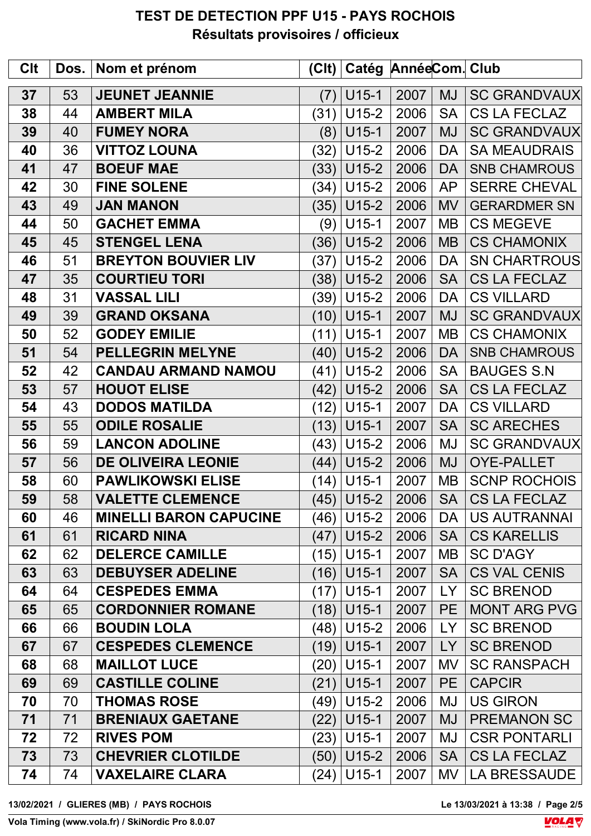| Clt | Dos. | Nom et prénom                 | C    |              | Catég AnnéeCom. Club |           |                     |
|-----|------|-------------------------------|------|--------------|----------------------|-----------|---------------------|
| 37  | 53   | <b>JEUNET JEANNIE</b>         | (7)  | $U15-1$      | 2007                 | <b>MJ</b> | <b>SC GRANDVAUX</b> |
| 38  | 44   | <b>AMBERT MILA</b>            | (31) | $U15-2$      | 2006                 | <b>SA</b> | <b>CS LA FECLAZ</b> |
| 39  | 40   | <b>FUMEY NORA</b>             | (8)  | $U15-1$      | 2007                 | <b>MJ</b> | <b>SC GRANDVAUX</b> |
| 40  | 36   | <b>VITTOZ LOUNA</b>           | (32) | $U15-2$      | 2006                 | DA        | <b>SA MEAUDRAIS</b> |
| 41  | 47   | <b>BOEUF MAE</b>              | (33) | $U15-2$      | 2006                 | DA        | <b>SNB CHAMROUS</b> |
| 42  | 30   | <b>FINE SOLENE</b>            | (34) | $U15-2$      | 2006                 | <b>AP</b> | <b>SERRE CHEVAL</b> |
| 43  | 49   | <b>JAN MANON</b>              | (35) | $U15-2$      | 2006                 | <b>MV</b> | <b>GERARDMER SN</b> |
| 44  | 50   | <b>GACHET EMMA</b>            | (9)  | $U15-1$      | 2007                 | MВ        | <b>CS MEGEVE</b>    |
| 45  | 45   | <b>STENGEL LENA</b>           | (36) | $U15-2$      | 2006                 | <b>MB</b> | <b>CS CHAMONIX</b>  |
| 46  | 51   | <b>BREYTON BOUVIER LIV</b>    | (37) | $U15-2$      | 2006                 | DA        | <b>SN CHARTROUS</b> |
| 47  | 35   | <b>COURTIEU TORI</b>          | (38) | $U15-2$      | 2006                 | <b>SA</b> | <b>CS LA FECLAZ</b> |
| 48  | 31   | <b>VASSAL LILI</b>            | (39) | $U15-2$      | 2006                 | DA        | <b>CS VILLARD</b>   |
| 49  | 39   | <b>GRAND OKSANA</b>           | (10) | $U15-1$      | 2007                 | <b>MJ</b> | <b>SC GRANDVAUX</b> |
| 50  | 52   | <b>GODEY EMILIE</b>           | (11) | $U15-1$      | 2007                 | MВ        | <b>CS CHAMONIX</b>  |
| 51  | 54   | <b>PELLEGRIN MELYNE</b>       | (40) | $U15-2$      | 2006                 | <b>DA</b> | <b>SNB CHAMROUS</b> |
| 52  | 42   | <b>CANDAU ARMAND NAMOU</b>    | (41) | $U15-2$      | 2006                 | <b>SA</b> | <b>BAUGES S.N</b>   |
| 53  | 57   | <b>HOUOT ELISE</b>            | (42) | $U15-2$      | 2006                 | <b>SA</b> | <b>CS LA FECLAZ</b> |
| 54  | 43   | <b>DODOS MATILDA</b>          | (12) | $U15-1$      | 2007                 | DA        | <b>CS VILLARD</b>   |
| 55  | 55   | <b>ODILE ROSALIE</b>          | (13) | $U15-1$      | 2007                 | <b>SA</b> | <b>SC ARECHES</b>   |
| 56  | 59   | <b>LANCON ADOLINE</b>         | (43) | $U15-2$      | 2006                 | MJ        | <b>SC GRANDVAUX</b> |
| 57  | 56   | <b>DE OLIVEIRA LEONIE</b>     | (44) | $U15-2$      | 2006                 | <b>MJ</b> | <b>OYE-PALLET</b>   |
| 58  | 60   | <b>PAWLIKOWSKI ELISE</b>      | (14) | $U15-1$      | 2007                 | MВ        | <b>SCNP ROCHOIS</b> |
| 59  | 58   | <b>VALETTE CLEMENCE</b>       |      | $(45)$ U15-2 | 2006                 | <b>SA</b> | <b>CS LA FECLAZ</b> |
| 60  | 46   | <b>MINELLI BARON CAPUCINE</b> | (46) | $U15-2$      | 2006                 | DA        | <b>US AUTRANNAI</b> |
| 61  | 61   | <b>RICARD NINA</b>            | (47) | $U15-2$      | 2006                 | <b>SA</b> | <b>CS KARELLIS</b>  |
| 62  | 62   | <b>DELERCE CAMILLE</b>        | (15) | $U15-1$      | 2007                 | MB        | <b>SC D'AGY</b>     |
| 63  | 63   | <b>DEBUYSER ADELINE</b>       | (16) | $U15-1$      | 2007                 | <b>SA</b> | <b>CS VAL CENIS</b> |
| 64  | 64   | <b>CESPEDES EMMA</b>          | (17) | $U15-1$      | 2007                 | LY.       | <b>SC BRENOD</b>    |
| 65  | 65   | <b>CORDONNIER ROMANE</b>      | (18) | $U15-1$      | 2007                 | <b>PE</b> | <b>MONT ARG PVG</b> |
| 66  | 66   | <b>BOUDIN LOLA</b>            | (48) | $U15-2$      | 2006                 | LY.       | <b>SC BRENOD</b>    |
| 67  | 67   | <b>CESPEDES CLEMENCE</b>      | (19) | $U15-1$      | 2007                 | LY.       | <b>SC BRENOD</b>    |
| 68  | 68   | <b>MAILLOT LUCE</b>           | (20) | $U15-1$      | 2007                 | MV        | <b>SC RANSPACH</b>  |
| 69  | 69   | <b>CASTILLE COLINE</b>        | (21) | $U15-1$      | 2007                 | <b>PE</b> | <b>CAPCIR</b>       |
| 70  | 70   | <b>THOMAS ROSE</b>            | (49) | $U15-2$      | 2006                 | MJ        | <b>US GIRON</b>     |
| 71  | 71   | <b>BRENIAUX GAETANE</b>       | (22) | $U15-1$      | 2007                 | MJ        | <b>PREMANON SC</b>  |
| 72  | 72   | <b>RIVES POM</b>              | (23) | $U15-1$      | 2007                 | MJ        | <b>CSR PONTARLI</b> |
| 73  | 73   | <b>CHEVRIER CLOTILDE</b>      | (50) | $U15-2$      | 2006                 | <b>SA</b> | <b>CS LA FECLAZ</b> |
| 74  | 74   | <b>VAXELAIRE CLARA</b>        | (24) | $U15-1$      | 2007                 | MV        | <b>LA BRESSAUDE</b> |

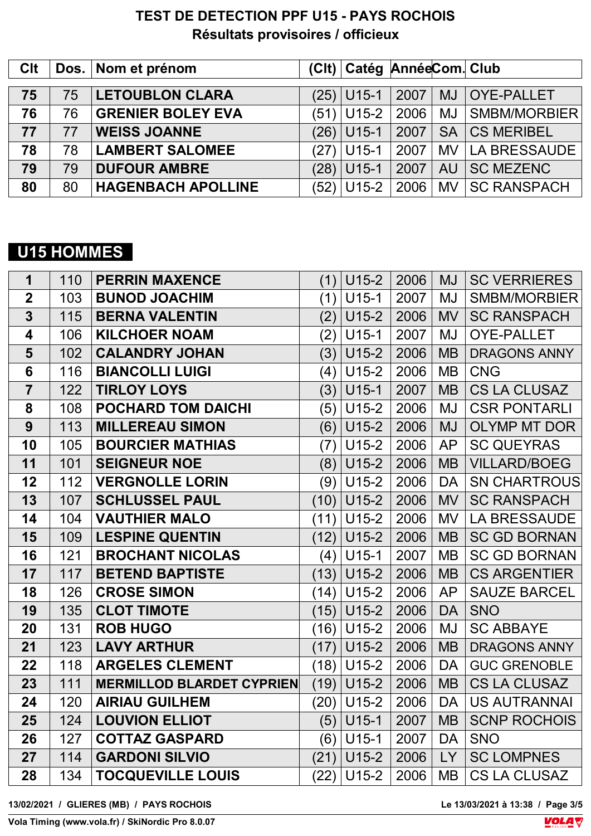| <b>Clt</b> |    | Dos. Nom et prénom        | (Clt) Catég AnnéeCom. Club |      |           |                     |
|------------|----|---------------------------|----------------------------|------|-----------|---------------------|
| 75         | 75 | <b>LETOUBLON CLARA</b>    | $(25)$ U15-1               | 2007 | MJ        | <b>OYE-PALLET</b>   |
| 76         | 76 | <b>GRENIER BOLEY EVA</b>  | $(51)$ U15-2               | 2006 |           | MJ SMBM/MORBIER     |
| 77         | 77 | <b>WEISS JOANNE</b>       | $(26)$ U15-1               | 2007 | SA        | <b>CS MERIBEL</b>   |
| 78         | 78 | <b>LAMBERT SALOMEE</b>    | (27)   U15-1               | 2007 | MV        | <b>LA BRESSAUDE</b> |
| 79         | 79 | <b>DUFOUR AMBRE</b>       | (28) U15-1                 | 2007 | <b>AU</b> | <b>SC MEZENC</b>    |
| 80         | 80 | <b>HAGENBACH APOLLINE</b> | (52) U15-2                 | 2006 |           | MV   SC RANSPACH    |

# **U15 HOMMES**

| $\mathbf 1$             | 110 | <b>PERRIN MAXENCE</b>            | (1)  | $U15-2$ | 2006 | <b>MJ</b> | <b>SC VERRIERES</b> |
|-------------------------|-----|----------------------------------|------|---------|------|-----------|---------------------|
| $\overline{2}$          | 103 | <b>BUNOD JOACHIM</b>             | (1)  | $U15-1$ | 2007 | MJ        | <b>SMBM/MORBIER</b> |
| $\overline{\mathbf{3}}$ | 115 | <b>BERNA VALENTIN</b>            | (2)  | $U15-2$ | 2006 | <b>MV</b> | <b>SC RANSPACH</b>  |
| 4                       | 106 | <b>KILCHOER NOAM</b>             | (2)  | $U15-1$ | 2007 | MJ        | <b>OYE-PALLET</b>   |
| 5                       | 102 | <b>CALANDRY JOHAN</b>            | (3)  | $U15-2$ | 2006 | <b>MB</b> | <b>DRAGONS ANNY</b> |
| 6                       | 116 | <b>BIANCOLLI LUIGI</b>           | (4)  | $U15-2$ | 2006 | <b>MB</b> | <b>CNG</b>          |
| $\overline{7}$          | 122 | <b>TIRLOY LOYS</b>               | (3)  | $U15-1$ | 2007 | <b>MB</b> | <b>CS LA CLUSAZ</b> |
| 8                       | 108 | <b>POCHARD TOM DAICHI</b>        | (5)  | $U15-2$ | 2006 | MJ        | <b>CSR PONTARLI</b> |
| 9                       | 113 | <b>MILLEREAU SIMON</b>           | (6)  | $U15-2$ | 2006 | <b>MJ</b> | <b>OLYMP MT DOR</b> |
| 10                      | 105 | <b>BOURCIER MATHIAS</b>          | (7)  | $U15-2$ | 2006 | <b>AP</b> | <b>SC QUEYRAS</b>   |
| 11                      | 101 | <b>SEIGNEUR NOE</b>              | (8)  | $U15-2$ | 2006 | <b>MB</b> | <b>VILLARD/BOEG</b> |
| 12                      | 112 | <b>VERGNOLLE LORIN</b>           | (9)  | $U15-2$ | 2006 | <b>DA</b> | <b>SN CHARTROUS</b> |
| 13                      | 107 | <b>SCHLUSSEL PAUL</b>            | (10) | $U15-2$ | 2006 | <b>MV</b> | <b>SC RANSPACH</b>  |
| 14                      | 104 | <b>VAUTHIER MALO</b>             | (11) | $U15-2$ | 2006 | <b>MV</b> | <b>LA BRESSAUDE</b> |
| 15                      | 109 | <b>LESPINE QUENTIN</b>           | (12) | $U15-2$ | 2006 | <b>MB</b> | <b>SC GD BORNAN</b> |
| 16                      | 121 | <b>BROCHANT NICOLAS</b>          | (4)  | $U15-1$ | 2007 | <b>MB</b> | <b>SC GD BORNAN</b> |
| 17                      | 117 | <b>BETEND BAPTISTE</b>           | (13) | $U15-2$ | 2006 | <b>MB</b> | <b>CS ARGENTIER</b> |
| 18                      | 126 | <b>CROSE SIMON</b>               | (14) | $U15-2$ | 2006 | <b>AP</b> | <b>SAUZE BARCEL</b> |
| 19                      | 135 | <b>CLOT TIMOTE</b>               | (15) | $U15-2$ | 2006 | <b>DA</b> | <b>SNO</b>          |
| 20                      | 131 | <b>ROB HUGO</b>                  | (16) | $U15-2$ | 2006 | <b>MJ</b> | <b>SC ABBAYE</b>    |
| 21                      | 123 | <b>LAVY ARTHUR</b>               | (17) | $U15-2$ | 2006 | <b>MB</b> | <b>DRAGONS ANNY</b> |
| 22                      | 118 | <b>ARGELES CLEMENT</b>           | (18) | $U15-2$ | 2006 | <b>DA</b> | <b>GUC GRENOBLE</b> |
| 23                      | 111 | <b>MERMILLOD BLARDET CYPRIEN</b> | (19) | $U15-2$ | 2006 | <b>MB</b> | <b>CS LA CLUSAZ</b> |
| 24                      | 120 | <b>AIRIAU GUILHEM</b>            | (20) | $U15-2$ | 2006 | <b>DA</b> | <b>US AUTRANNAI</b> |
| 25                      | 124 | <b>LOUVION ELLIOT</b>            | (5)  | $U15-1$ | 2007 | <b>MB</b> | <b>SCNP ROCHOIS</b> |
| 26                      | 127 | <b>COTTAZ GASPARD</b>            | (6)  | $U15-1$ | 2007 | <b>DA</b> | <b>SNO</b>          |
| 27                      | 114 | <b>GARDONI SILVIO</b>            | (21) | $U15-2$ | 2006 | LY        | <b>SC LOMPNES</b>   |
| 28                      | 134 | <b>TOCQUEVILLE LOUIS</b>         | (22) | $U15-2$ | 2006 | MB        | <b>CS LA CLUSAZ</b> |
|                         |     |                                  |      |         |      |           |                     |

**13/02/2021 / GLIERES (MB) / PAYS ROCHOIS Le 13/03/2021 à 13:38 / Page 3/5**

Le 13/03/2021 à 13:38 / Page 3/5



**Vola Timing (www.vola.fr) / SkiNordic Pro 8.0.07**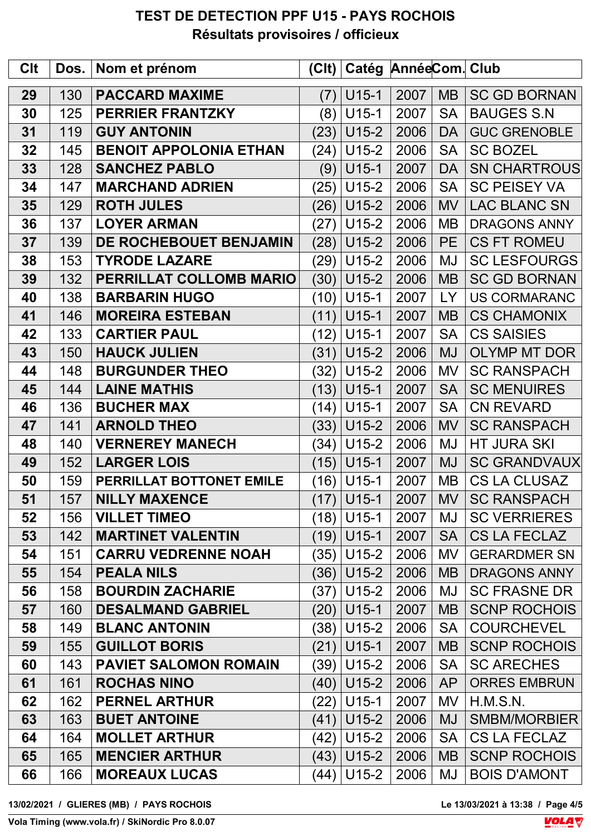| <b>C<sub>It</sub></b> | Dos. | Nom et prénom                 | C    | Catég AnnéeCom. Club |      |           |                     |
|-----------------------|------|-------------------------------|------|----------------------|------|-----------|---------------------|
| 29                    | 130  | <b>PACCARD MAXIME</b>         | (7)  | $U15-1$              | 2007 | <b>MB</b> | <b>SC GD BORNAN</b> |
| 30                    | 125  | <b>PERRIER FRANTZKY</b>       | (8)  | $U15-1$              | 2007 | <b>SA</b> | <b>BAUGES S.N</b>   |
| 31                    | 119  | <b>GUY ANTONIN</b>            | (23) | $U15-2$              | 2006 | <b>DA</b> | <b>GUC GRENOBLE</b> |
| 32                    | 145  | <b>BENOIT APPOLONIA ETHAN</b> | (24) | $U15-2$              | 2006 | <b>SA</b> | <b>SC BOZEL</b>     |
| 33                    | 128  | <b>SANCHEZ PABLO</b>          | (9)  | $U15-1$              | 2007 | <b>DA</b> | <b>SN CHARTROUS</b> |
| 34                    | 147  | <b>MARCHAND ADRIEN</b>        | (25) | $U15-2$              | 2006 | <b>SA</b> | <b>SC PEISEY VA</b> |
| 35                    | 129  | <b>ROTH JULES</b>             | (26) | $U15-2$              | 2006 | <b>MV</b> | <b>LAC BLANC SN</b> |
| 36                    | 137  | <b>LOYER ARMAN</b>            | (27) | $U15-2$              | 2006 | <b>MB</b> | <b>DRAGONS ANNY</b> |
| 37                    | 139  | DE ROCHEBOUET BENJAMIN        | (28) | $U15-2$              | 2006 | <b>PE</b> | <b>CS FT ROMEU</b>  |
| 38                    | 153  | <b>TYRODE LAZARE</b>          | (29) | $U15-2$              | 2006 | MJ        | <b>SC LESFOURGS</b> |
| 39                    | 132  | PERRILLAT COLLOMB MARIO       | (30) | $U15-2$              | 2006 | <b>MB</b> | <b>SC GD BORNAN</b> |
| 40                    | 138  | <b>BARBARIN HUGO</b>          | (10) | $U15-1$              | 2007 | <b>LY</b> | <b>US CORMARANC</b> |
| 41                    | 146  | <b>MOREIRA ESTEBAN</b>        | (11) | $U15-1$              | 2007 | <b>MB</b> | <b>CS CHAMONIX</b>  |
| 42                    | 133  | <b>CARTIER PAUL</b>           | (12) | $U15-1$              | 2007 | <b>SA</b> | <b>CS SAISIES</b>   |
| 43                    | 150  | <b>HAUCK JULIEN</b>           | (31) | $U15-2$              | 2006 | <b>MJ</b> | <b>OLYMP MT DOR</b> |
| 44                    | 148  | <b>BURGUNDER THEO</b>         | (32) | $U15-2$              | 2006 | <b>MV</b> | <b>SC RANSPACH</b>  |
| 45                    | 144  | <b>LAINE MATHIS</b>           | (13) | $U15-1$              | 2007 | <b>SA</b> | <b>SC MENUIRES</b>  |
| 46                    | 136  | <b>BUCHER MAX</b>             | (14) | $U15-1$              | 2007 | <b>SA</b> | <b>CN REVARD</b>    |
| 47                    | 141  | <b>ARNOLD THEO</b>            | (33) | $U15-2$              | 2006 | <b>MV</b> | <b>SC RANSPACH</b>  |
| 48                    | 140  | <b>VERNEREY MANECH</b>        | (34) | $U15-2$              | 2006 | <b>MJ</b> | <b>HT JURA SKI</b>  |
| 49                    | 152  | <b>LARGER LOIS</b>            | (15) | $U15-1$              | 2007 | <b>MJ</b> | <b>SC GRANDVAUX</b> |
| 50                    | 159  | PERRILLAT BOTTONET EMILE      |      | $(16)$ U15-1         | 2007 | <b>MB</b> | <b>CS LA CLUSAZ</b> |
| 51                    | 157  | <b>NILLY MAXENCE</b>          |      | $(17)$ U15-1         | 2007 | MV        | <b>SC RANSPACH</b>  |
| 52                    | 156  | <b>VILLET TIMEO</b>           |      | $(18)$ U15-1         | 2007 | MJ        | <b>SC VERRIERES</b> |
| 53                    | 142  | <b>MARTINET VALENTIN</b>      |      | $(19)$ U15-1         | 2007 | <b>SA</b> | CS LA FECLAZ        |
| 54                    | 151  | <b>CARRU VEDRENNE NOAH</b>    | (35) | $U15-2$              | 2006 | <b>MV</b> | <b>GERARDMER SN</b> |
| 55                    | 154  | <b>PEALA NILS</b>             | (36) | $U15-2$              | 2006 | <b>MB</b> | <b>DRAGONS ANNY</b> |
| 56                    | 158  | <b>BOURDIN ZACHARIE</b>       | (37) | U15-2                | 2006 | MJ        | <b>SC FRASNE DR</b> |
| 57                    | 160  | <b>DESALMAND GABRIEL</b>      | (20) | $U15-1$              | 2007 | <b>MB</b> | <b>SCNP ROCHOIS</b> |
| 58                    | 149  | <b>BLANC ANTONIN</b>          |      | $(38)$ U15-2         | 2006 | <b>SA</b> | <b>COURCHEVEL</b>   |
| 59                    | 155  | <b>GUILLOT BORIS</b>          | (21) | $U15-1$              | 2007 | <b>MB</b> | <b>SCNP ROCHOIS</b> |
| 60                    | 143  | <b>PAVIET SALOMON ROMAIN</b>  |      | (39)   U15-2         | 2006 | <b>SA</b> | <b>SC ARECHES</b>   |
| 61                    | 161  | <b>ROCHAS NINO</b>            | (40) | $U15-2$              | 2006 | <b>AP</b> | <b>ORRES EMBRUN</b> |
| 62                    | 162  | <b>PERNEL ARTHUR</b>          |      | (22)   U15-1         | 2007 | <b>MV</b> | H.M.S.N.            |
| 63                    | 163  | <b>BUET ANTOINE</b>           | (41) | $U15-2$              | 2006 | <b>MJ</b> | <b>SMBM/MORBIER</b> |
| 64                    | 164  | <b>MOLLET ARTHUR</b>          | (42) | $U15-2$              | 2006 | <b>SA</b> | <b>CS LA FECLAZ</b> |
| 65                    | 165  | <b>MENCIER ARTHUR</b>         | (43) | $U15-2$              | 2006 | <b>MB</b> | <b>SCNP ROCHOIS</b> |
| 66                    | 166  | <b>MOREAUX LUCAS</b>          | (44) | $U15-2$              | 2006 | MJ        | <b>BOIS D'AMONT</b> |